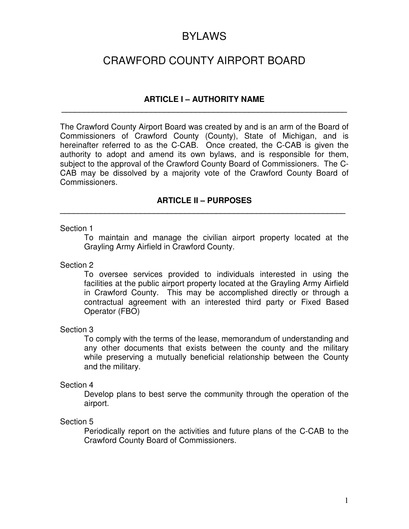# BYLAWS

# CRAWFORD COUNTY AIRPORT BOARD

# **ARTICLE I – AUTHORITY NAME \_\_\_\_\_\_\_\_\_\_\_\_\_\_\_\_\_\_\_\_\_\_\_\_\_\_\_\_\_\_\_\_\_\_\_\_\_\_\_\_\_\_\_\_\_\_\_\_\_\_\_\_\_\_\_\_\_\_\_\_\_\_\_\_**

The Crawford County Airport Board was created by and is an arm of the Board of Commissioners of Crawford County (County), State of Michigan, and is hereinafter referred to as the C-CAB. Once created, the C-CAB is given the authority to adopt and amend its own bylaws, and is responsible for them, subject to the approval of the Crawford County Board of Commissioners. The C-CAB may be dissolved by a majority vote of the Crawford County Board of Commissioners.

# **ARTICLE II – PURPOSES \_\_\_\_\_\_\_\_\_\_\_\_\_\_\_\_\_\_\_\_\_\_\_\_\_\_\_\_\_\_\_\_\_\_\_\_\_\_\_\_\_\_\_\_\_\_\_\_\_\_\_\_\_\_\_\_\_\_\_\_\_\_\_\_**

## Section 1

To maintain and manage the civilian airport property located at the Grayling Army Airfield in Crawford County.

## Section 2

To oversee services provided to individuals interested in using the facilities at the public airport property located at the Grayling Army Airfield in Crawford County. This may be accomplished directly or through a contractual agreement with an interested third party or Fixed Based Operator (FBO)

## Section 3

To comply with the terms of the lease, memorandum of understanding and any other documents that exists between the county and the military while preserving a mutually beneficial relationship between the County and the military.

## Section 4

Develop plans to best serve the community through the operation of the airport.

## Section 5

Periodically report on the activities and future plans of the C-CAB to the Crawford County Board of Commissioners.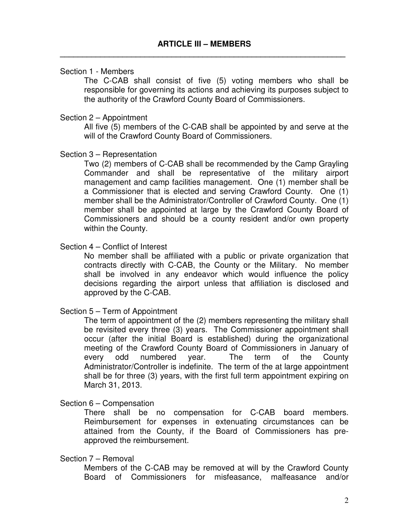#### Section 1 - Members

The C-CAB shall consist of five (5) voting members who shall be responsible for governing its actions and achieving its purposes subject to the authority of the Crawford County Board of Commissioners.

#### Section 2 – Appointment

All five (5) members of the C-CAB shall be appointed by and serve at the will of the Crawford County Board of Commissioners.

#### Section 3 – Representation

Two (2) members of C-CAB shall be recommended by the Camp Grayling Commander and shall be representative of the military airport management and camp facilities management. One (1) member shall be a Commissioner that is elected and serving Crawford County. One (1) member shall be the Administrator/Controller of Crawford County. One (1) member shall be appointed at large by the Crawford County Board of Commissioners and should be a county resident and/or own property within the County.

## Section 4 – Conflict of Interest

No member shall be affiliated with a public or private organization that contracts directly with C-CAB, the County or the Military. No member shall be involved in any endeavor which would influence the policy decisions regarding the airport unless that affiliation is disclosed and approved by the C-CAB.

## Section 5 – Term of Appointment

The term of appointment of the (2) members representing the military shall be revisited every three (3) years. The Commissioner appointment shall occur (after the initial Board is established) during the organizational meeting of the Crawford County Board of Commissioners in January of every odd numbered year. The term of the County Administrator/Controller is indefinite. The term of the at large appointment shall be for three (3) years, with the first full term appointment expiring on March 31, 2013.

#### Section 6 – Compensation

There shall be no compensation for C-CAB board members. Reimbursement for expenses in extenuating circumstances can be attained from the County, if the Board of Commissioners has preapproved the reimbursement.

#### Section 7 – Removal

Members of the C-CAB may be removed at will by the Crawford County Board of Commissioners for misfeasance, malfeasance and/or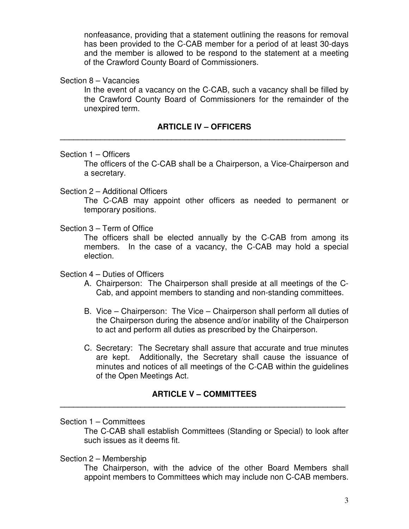nonfeasance, providing that a statement outlining the reasons for removal has been provided to the C-CAB member for a period of at least 30-days and the member is allowed to be respond to the statement at a meeting of the Crawford County Board of Commissioners.

## Section 8 – Vacancies

In the event of a vacancy on the C-CAB, such a vacancy shall be filled by the Crawford County Board of Commissioners for the remainder of the unexpired term.

# **ARTICLE IV – OFFICERS \_\_\_\_\_\_\_\_\_\_\_\_\_\_\_\_\_\_\_\_\_\_\_\_\_\_\_\_\_\_\_\_\_\_\_\_\_\_\_\_\_\_\_\_\_\_\_\_\_\_\_\_\_\_\_\_\_\_\_\_\_\_\_\_**

## Section 1 – Officers

The officers of the C-CAB shall be a Chairperson, a Vice-Chairperson and a secretary.

## Section 2 – Additional Officers

The C-CAB may appoint other officers as needed to permanent or temporary positions.

## Section 3 – Term of Office

The officers shall be elected annually by the C-CAB from among its members. In the case of a vacancy, the C-CAB may hold a special election.

## Section 4 – Duties of Officers

- A. Chairperson: The Chairperson shall preside at all meetings of the C-Cab, and appoint members to standing and non-standing committees.
- B. Vice Chairperson: The Vice Chairperson shall perform all duties of the Chairperson during the absence and/or inability of the Chairperson to act and perform all duties as prescribed by the Chairperson.
- C. Secretary: The Secretary shall assure that accurate and true minutes are kept. Additionally, the Secretary shall cause the issuance of minutes and notices of all meetings of the C-CAB within the guidelines of the Open Meetings Act.

# **ARTICLE V – COMMITTEES \_\_\_\_\_\_\_\_\_\_\_\_\_\_\_\_\_\_\_\_\_\_\_\_\_\_\_\_\_\_\_\_\_\_\_\_\_\_\_\_\_\_\_\_\_\_\_\_\_\_\_\_\_\_\_\_\_\_\_\_\_\_\_\_**

Section 1 – Committees

The C-CAB shall establish Committees (Standing or Special) to look after such issues as it deems fit.

## Section 2 – Membership

The Chairperson, with the advice of the other Board Members shall appoint members to Committees which may include non C-CAB members.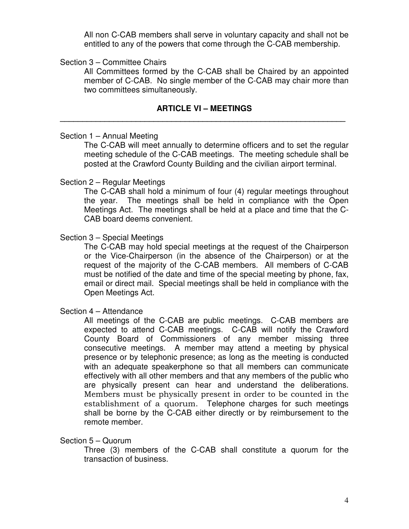All non C-CAB members shall serve in voluntary capacity and shall not be entitled to any of the powers that come through the C-CAB membership.

## Section 3 – Committee Chairs

All Committees formed by the C-CAB shall be Chaired by an appointed member of C-CAB. No single member of the C-CAB may chair more than two committees simultaneously.

## **ARTICLE VI – MEETINGS \_\_\_\_\_\_\_\_\_\_\_\_\_\_\_\_\_\_\_\_\_\_\_\_\_\_\_\_\_\_\_\_\_\_\_\_\_\_\_\_\_\_\_\_\_\_\_\_\_\_\_\_\_\_\_\_\_\_\_\_\_\_\_\_**

## Section 1 – Annual Meeting

The C-CAB will meet annually to determine officers and to set the regular meeting schedule of the C-CAB meetings. The meeting schedule shall be posted at the Crawford County Building and the civilian airport terminal.

## Section 2 – Regular Meetings

The C-CAB shall hold a minimum of four (4) regular meetings throughout the year. The meetings shall be held in compliance with the Open Meetings Act. The meetings shall be held at a place and time that the C-CAB board deems convenient.

## Section 3 – Special Meetings

The C-CAB may hold special meetings at the request of the Chairperson or the Vice-Chairperson (in the absence of the Chairperson) or at the request of the majority of the C-CAB members. All members of C-CAB must be notified of the date and time of the special meeting by phone, fax, email or direct mail. Special meetings shall be held in compliance with the Open Meetings Act.

## Section 4 – Attendance

All meetings of the C-CAB are public meetings. C-CAB members are expected to attend C-CAB meetings. C-CAB will notify the Crawford County Board of Commissioners of any member missing three consecutive meetings. A member may attend a meeting by physical presence or by telephonic presence; as long as the meeting is conducted with an adequate speakerphone so that all members can communicate effectively with all other members and that any members of the public who are physically present can hear and understand the deliberations. Members must be physically present in order to be counted in the establishment of a quorum. Telephone charges for such meetings shall be borne by the C-CAB either directly or by reimbursement to the remote member.

## Section 5 – Quorum

Three (3) members of the C-CAB shall constitute a quorum for the transaction of business.